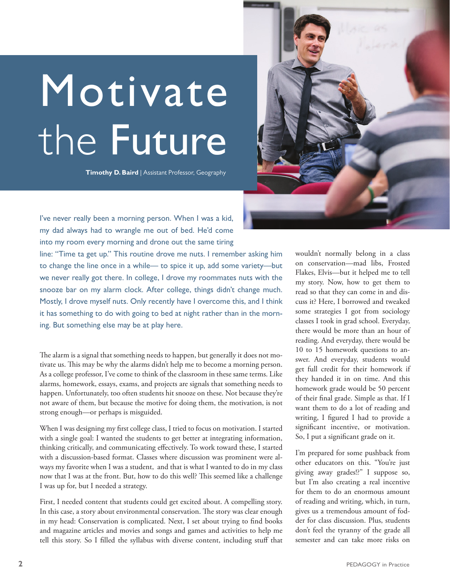## Motivate the Future

**Timothy D. Baird** | Assistant Professor, Geography



I've never really been a morning person. When I was a kid, my dad always had to wrangle me out of bed. He'd come into my room every morning and drone out the same tiring

line: "Time ta get up." This routine drove me nuts. I remember asking him to change the line once in a while— to spice it up, add some variety—but we never really got there. In college, I drove my roommates nuts with the snooze bar on my alarm clock. After college, things didn't change much. Mostly, I drove myself nuts. Only recently have I overcome this, and I think it has something to do with going to bed at night rather than in the morning. But something else may be at play here.

The alarm is a signal that something needs to happen, but generally it does not motivate us. This may be why the alarms didn't help me to become a morning person. As a college professor, I've come to think of the classroom in these same terms. Like alarms, homework, essays, exams, and projects are signals that something needs to happen. Unfortunately, too often students hit snooze on these. Not because they're not aware of them, but because the motive for doing them, the motivation, is not strong enough—or perhaps is misguided.

When I was designing my first college class, I tried to focus on motivation. I started with a single goal: I wanted the students to get better at integrating information, thinking critically, and communicating effectively. To work toward these, I started with a discussion-based format. Classes where discussion was prominent were always my favorite when I was a student, and that is what I wanted to do in my class now that I was at the front. But, how to do this well? This seemed like a challenge I was up for, but I needed a strategy.

First, I needed content that students could get excited about. A compelling story. In this case, a story about environmental conservation. The story was clear enough in my head: Conservation is complicated. Next, I set about trying to find books and magazine articles and movies and songs and games and activities to help me tell this story. So I filled the syllabus with diverse content, including stuff that wouldn't normally belong in a class on conservation—mad libs, Frosted Flakes, Elvis—but it helped me to tell my story. Now, how to get them to read so that they can come in and discuss it? Here, I borrowed and tweaked some strategies I got from sociology classes I took in grad school. Everyday, there would be more than an hour of reading. And everyday, there would be 10 to 15 homework questions to answer. And everyday, students would get full credit for their homework if they handed it in on time. And this homework grade would be 50 percent of their final grade. Simple as that. If I want them to do a lot of reading and writing, I figured I had to provide a significant incentive, or motivation. So, I put a significant grade on it.

I'm prepared for some pushback from other educators on this. "You're just giving away grades!?" I suppose so, but I'm also creating a real incentive for them to do an enormous amount of reading and writing, which, in turn, gives us a tremendous amount of fodder for class discussion. Plus, students don't feel the tyranny of the grade all semester and can take more risks on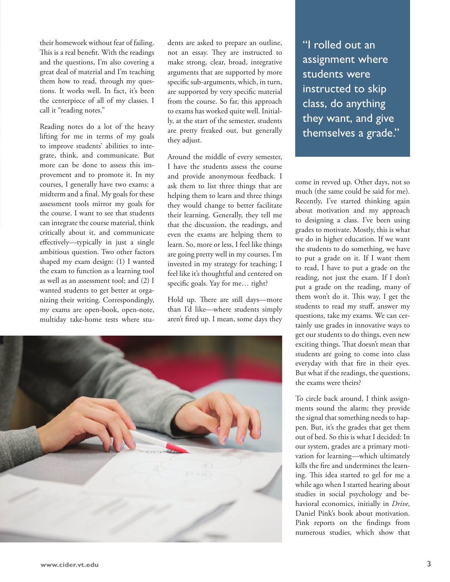their homework without fear of failing. This is a real benefit. With the readings and the questions, I'm also covering a great deal of material and I'm teaching them how to read, through my questions. It works well. In fact, it's been the centerpiece of all of my classes. I call it "reading notes."

Reading notes do a lot of the heavy lifting for me in terms of my goals to improve students' abilities to integrate, think, and communicate. But more can be done to assess this improvement and to promote it. In my courses, I generally have two exams: a midterm and a final. My goals for these assessment tools mirror my goals for the course. I want to see that students can integrate the course material, think critically about it, and communicate effectively—typically in just a single ambitious question. Two other factors shaped my exam design: (1) I wanted the exam to function as a learning tool as well as an assessment tool; and (2) I wanted students to get better at organizing their writing. Correspondingly, my exams are open-book, open-note, multiday take-home tests where stu-

dents are asked to prepare an outline, not an essay. They are instructed to make strong, clear, broad, integrative arguments that are supported by more specific sub-arguments, which, in turn, are supported by very specific material from the course. So far, this approach to exams has worked quite well. Initially, at the start of the semester, students are pretty freaked out, but generally they adjust.

Around the middle of every semester, I have the students assess the course and provide anonymous feedback. I ask them to list three things that are helping them to learn and three things they would change to better facilitate their learning. Generally, they tell me that the discussion, the readings, and even the exams are helping them to learn. So, more or less, I feel like things are going pretty well in my courses. I'm invested in my strategy for teaching; I feel like it's thoughtful and centered on specific goals. Yay for me... right?

Hold up. There are still days—more than I'd like—where students simply aren't fired up. I mean, some days they



"I rolled out an assignment where students were instructed to skip class, do anything they want, and give themselves a grade."

come in revved up. Other days, not so much (the same could be said for me). Recently, I've started thinking again about motivation and my approach to designing a class. I've been using grades to motivate. Mostly, this is what we do in higher education. If we want the students to do something, we have to put a grade on it. If I want them to read, I have to put a grade on the reading, not just the exam. If I don't put a grade on the reading, many of them won't do it. This way, I get the students to read my stuff, answer my questions, take my exams. We can certainly use grades in innovative ways to get our students to do things, even new exciting things. That doesn't mean that students are going to come into class everyday with that fire in their eyes. But what if the readings, the questions, the exams were theirs?

To circle back around, I think assignments sound the alarm; they provide the signal that something needs to happen. But, it's the grades that get them out of bed. So this is what I decided: In our system, grades are a primary motivation for learning—which ultimately kills the fire and undermines the learning. This idea started to gel for me a while ago when I started hearing about studies in social psychology and behavioral economics, initially in *Drive*, Daniel Pink's book about motivation. Pink reports on the findings from numerous studies, which show that